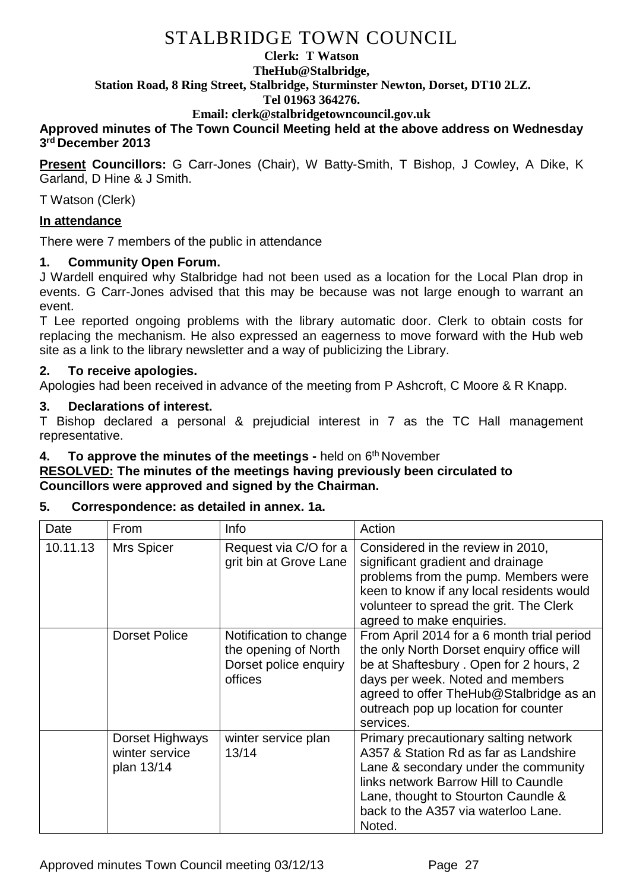#### **Clerk: T Watson TheHub@Stalbridge, Station Road, 8 Ring Street, Stalbridge, Sturminster Newton, Dorset, DT10 2LZ. Tel 01963 364276.**

# **Email: clerk@stalbridgetowncouncil.gov.uk**

### **Approved minutes of The Town Council Meeting held at the above address on Wednesday 3 rd December 2013**

**Present Councillors:** G Carr-Jones (Chair), W Batty-Smith, T Bishop, J Cowley, A Dike, K Garland, D Hine & J Smith.

T Watson (Clerk)

### **In attendance**

There were 7 members of the public in attendance

# **1. Community Open Forum.**

J Wardell enquired why Stalbridge had not been used as a location for the Local Plan drop in events. G Carr-Jones advised that this may be because was not large enough to warrant an event.

T Lee reported ongoing problems with the library automatic door. Clerk to obtain costs for replacing the mechanism. He also expressed an eagerness to move forward with the Hub web site as a link to the library newsletter and a way of publicizing the Library.

### **2. To receive apologies.**

Apologies had been received in advance of the meeting from P Ashcroft, C Moore & R Knapp.

### **3. Declarations of interest.**

T Bishop declared a personal & prejudicial interest in 7 as the TC Hall management representative.

# **4.** To approve the minutes of the meetings - held on 6<sup>th</sup> November

### **RESOLVED: The minutes of the meetings having previously been circulated to Councillors were approved and signed by the Chairman.**

#### **5. Correspondence: as detailed in annex. 1a.**

| Date     | From                                            | <b>Info</b>                                                                        | Action                                                                                                                                                                                                                                                                 |
|----------|-------------------------------------------------|------------------------------------------------------------------------------------|------------------------------------------------------------------------------------------------------------------------------------------------------------------------------------------------------------------------------------------------------------------------|
| 10.11.13 | <b>Mrs Spicer</b>                               | Request via C/O for a<br>grit bin at Grove Lane                                    | Considered in the review in 2010,<br>significant gradient and drainage<br>problems from the pump. Members were<br>keen to know if any local residents would<br>volunteer to spread the grit. The Clerk<br>agreed to make enquiries.                                    |
|          | <b>Dorset Police</b>                            | Notification to change<br>the opening of North<br>Dorset police enquiry<br>offices | From April 2014 for a 6 month trial period<br>the only North Dorset enquiry office will<br>be at Shaftesbury . Open for 2 hours, 2<br>days per week. Noted and members<br>agreed to offer TheHub@Stalbridge as an<br>outreach pop up location for counter<br>services. |
|          | Dorset Highways<br>winter service<br>plan 13/14 | winter service plan<br>13/14                                                       | Primary precautionary salting network<br>A357 & Station Rd as far as Landshire<br>Lane & secondary under the community<br>links network Barrow Hill to Caundle<br>Lane, thought to Stourton Caundle &<br>back to the A357 via waterloo Lane.<br>Noted.                 |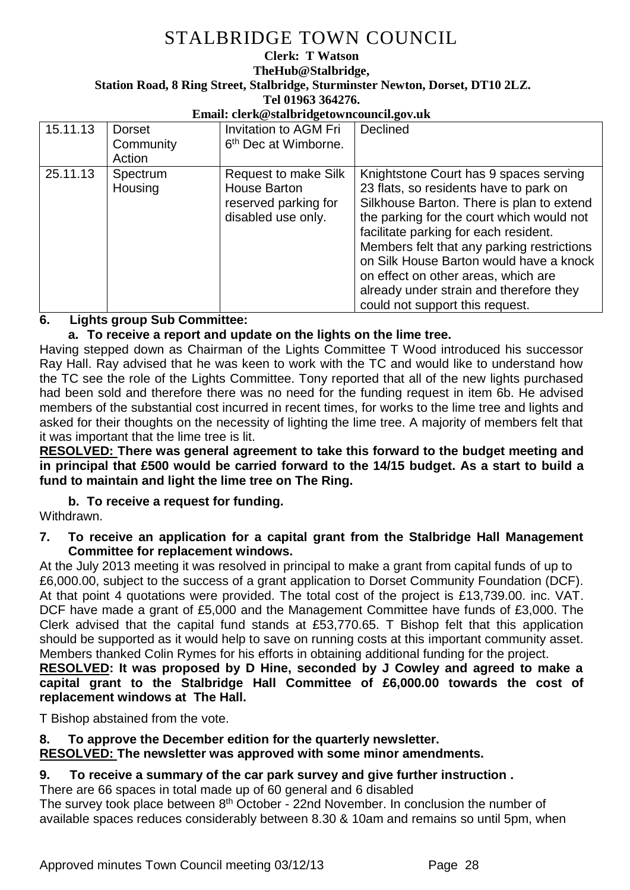#### **Clerk: T Watson TheHub@Stalbridge, Station Road, 8 Ring Street, Stalbridge, Sturminster Newton, Dorset, DT10 2LZ. Tel 01963 364276.**

#### **Email: clerk@stalbridgetowncouncil.gov.uk**

| 15.11.13 | <b>Dorset</b><br>Community<br>Action | Invitation to AGM Fri<br>6 <sup>th</sup> Dec at Wimborne.                                 | Declined                                                                                                                                                                                                                                                                                                                                                                                                                          |
|----------|--------------------------------------|-------------------------------------------------------------------------------------------|-----------------------------------------------------------------------------------------------------------------------------------------------------------------------------------------------------------------------------------------------------------------------------------------------------------------------------------------------------------------------------------------------------------------------------------|
| 25.11.13 | Spectrum<br>Housing                  | <b>Request to make Silk</b><br>House Barton<br>reserved parking for<br>disabled use only. | Knightstone Court has 9 spaces serving<br>23 flats, so residents have to park on<br>Silkhouse Barton. There is plan to extend<br>the parking for the court which would not<br>facilitate parking for each resident.<br>Members felt that any parking restrictions<br>on Silk House Barton would have a knock<br>on effect on other areas, which are<br>already under strain and therefore they<br>could not support this request. |

# **6. Lights group Sub Committee:**

# **a. To receive a report and update on the lights on the lime tree.**

Having stepped down as Chairman of the Lights Committee T Wood introduced his successor Ray Hall. Ray advised that he was keen to work with the TC and would like to understand how the TC see the role of the Lights Committee. Tony reported that all of the new lights purchased had been sold and therefore there was no need for the funding request in item 6b. He advised members of the substantial cost incurred in recent times, for works to the lime tree and lights and asked for their thoughts on the necessity of lighting the lime tree. A majority of members felt that it was important that the lime tree is lit.

**RESOLVED: There was general agreement to take this forward to the budget meeting and in principal that £500 would be carried forward to the 14/15 budget. As a start to build a fund to maintain and light the lime tree on The Ring.**

# **b. To receive a request for funding.**

Withdrawn.

### **7. To receive an application for a capital grant from the Stalbridge Hall Management Committee for replacement windows.**

At the July 2013 meeting it was resolved in principal to make a grant from capital funds of up to £6,000.00, subject to the success of a grant application to Dorset Community Foundation (DCF). At that point 4 quotations were provided. The total cost of the project is £13,739.00. inc. VAT. DCF have made a grant of £5,000 and the Management Committee have funds of £3,000. The Clerk advised that the capital fund stands at £53,770.65. T Bishop felt that this application should be supported as it would help to save on running costs at this important community asset. Members thanked Colin Rymes for his efforts in obtaining additional funding for the project.

**RESOLVED: It was proposed by D Hine, seconded by J Cowley and agreed to make a capital grant to the Stalbridge Hall Committee of £6,000.00 towards the cost of replacement windows at The Hall.**

T Bishop abstained from the vote.

# **8. To approve the December edition for the quarterly newsletter.**

**RESOLVED: The newsletter was approved with some minor amendments.**

# **9. To receive a summary of the car park survey and give further instruction .**

There are 66 spaces in total made up of 60 general and 6 disabled

The survey took place between 8<sup>th</sup> October - 22nd November. In conclusion the number of available spaces reduces considerably between 8.30 & 10am and remains so until 5pm, when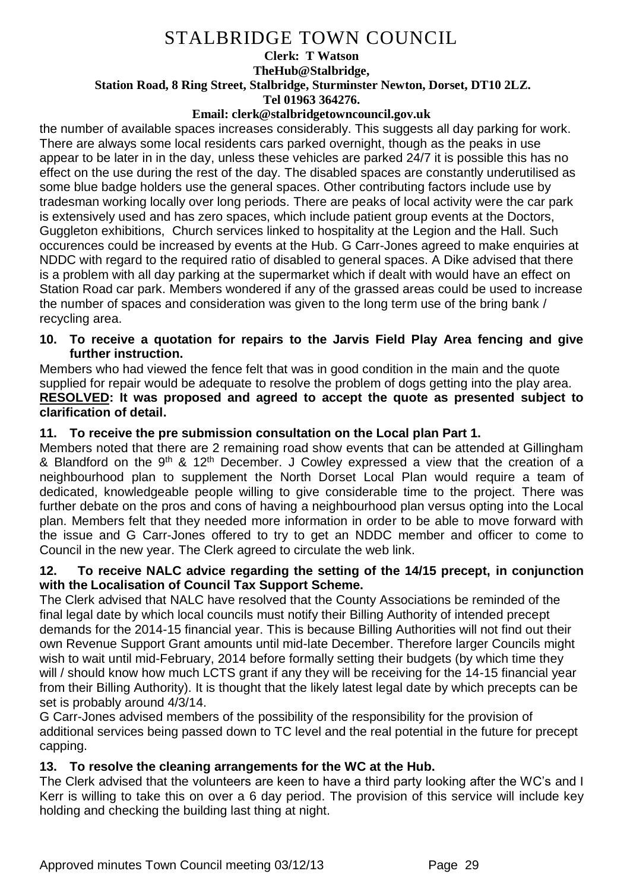#### **Clerk: T Watson TheHub@Stalbridge, Station Road, 8 Ring Street, Stalbridge, Sturminster Newton, Dorset, DT10 2LZ. Tel 01963 364276.**

#### **Email: clerk@stalbridgetowncouncil.gov.uk**

the number of available spaces increases considerably. This suggests all day parking for work. There are always some local residents cars parked overnight, though as the peaks in use appear to be later in in the day, unless these vehicles are parked 24/7 it is possible this has no effect on the use during the rest of the day. The disabled spaces are constantly underutilised as some blue badge holders use the general spaces. Other contributing factors include use by tradesman working locally over long periods. There are peaks of local activity were the car park is extensively used and has zero spaces, which include patient group events at the Doctors, Guggleton exhibitions, Church services linked to hospitality at the Legion and the Hall. Such occurences could be increased by events at the Hub. G Carr-Jones agreed to make enquiries at NDDC with regard to the required ratio of disabled to general spaces. A Dike advised that there is a problem with all day parking at the supermarket which if dealt with would have an effect on Station Road car park. Members wondered if any of the grassed areas could be used to increase the number of spaces and consideration was given to the long term use of the bring bank / recycling area.

### **10. To receive a quotation for repairs to the Jarvis Field Play Area fencing and give further instruction.**

Members who had viewed the fence felt that was in good condition in the main and the quote supplied for repair would be adequate to resolve the problem of dogs getting into the play area. **RESOLVED: It was proposed and agreed to accept the quote as presented subject to clarification of detail.**

### **11. To receive the pre submission consultation on the Local plan Part 1.**

Members noted that there are 2 remaining road show events that can be attended at Gillingham & Blandford on the  $9<sup>th</sup>$  & 12<sup>th</sup> December. J Cowley expressed a view that the creation of a neighbourhood plan to supplement the North Dorset Local Plan would require a team of dedicated, knowledgeable people willing to give considerable time to the project. There was further debate on the pros and cons of having a neighbourhood plan versus opting into the Local plan. Members felt that they needed more information in order to be able to move forward with the issue and G Carr-Jones offered to try to get an NDDC member and officer to come to Council in the new year. The Clerk agreed to circulate the web link.

### **12. To receive NALC advice regarding the setting of the 14/15 precept, in conjunction with the Localisation of Council Tax Support Scheme.**

The Clerk advised that NALC have resolved that the County Associations be reminded of the final legal date by which local councils must notify their Billing Authority of intended precept demands for the 2014-15 financial year. This is because Billing Authorities will not find out their own Revenue Support Grant amounts until mid-late December. Therefore larger Councils might wish to wait until mid-February, 2014 before formally setting their budgets (by which time they will / should know how much LCTS grant if any they will be receiving for the 14-15 financial year from their Billing Authority). It is thought that the likely latest legal date by which precepts can be set is probably around 4/3/14.

G Carr-Jones advised members of the possibility of the responsibility for the provision of additional services being passed down to TC level and the real potential in the future for precept capping.

# **13. To resolve the cleaning arrangements for the WC at the Hub.**

The Clerk advised that the volunteers are keen to have a third party looking after the WC's and I Kerr is willing to take this on over a 6 day period. The provision of this service will include key holding and checking the building last thing at night.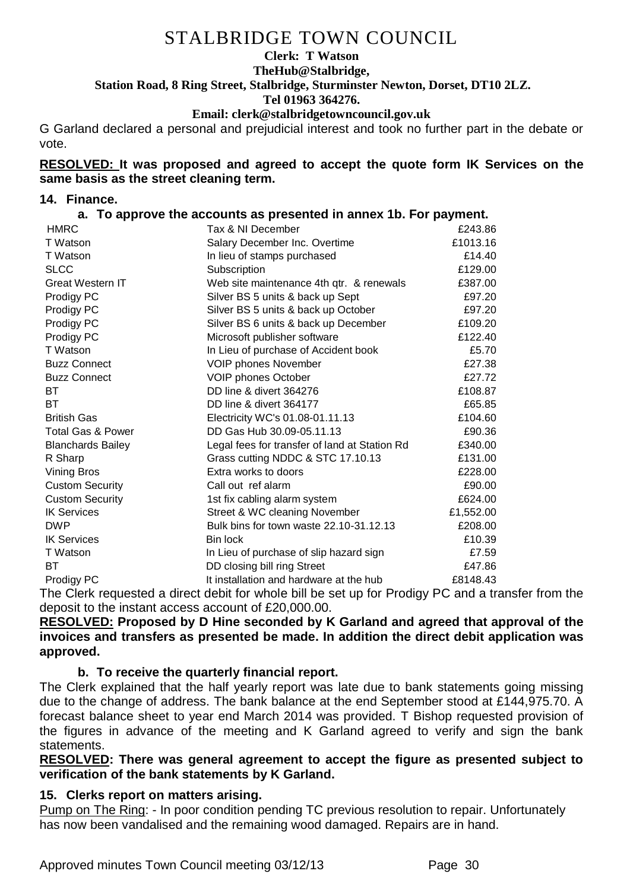#### **Clerk: T Watson**

# **TheHub@Stalbridge, Station Road, 8 Ring Street, Stalbridge, Sturminster Newton, Dorset, DT10 2LZ.**

**Tel 01963 364276.** 

### **Email: clerk@stalbridgetowncouncil.gov.uk**

G Garland declared a personal and prejudicial interest and took no further part in the debate or vote.

#### **RESOLVED: It was proposed and agreed to accept the quote form IK Services on the same basis as the street cleaning term.**

### **14. Finance.**

### **a. To approve the accounts as presented in annex 1b. For payment.**

| Tax & NI December                             | £243.86   |
|-----------------------------------------------|-----------|
| Salary December Inc. Overtime                 | £1013.16  |
| In lieu of stamps purchased                   | £14.40    |
| Subscription                                  | £129.00   |
| Web site maintenance 4th qtr. & renewals      | £387.00   |
| Silver BS 5 units & back up Sept              | £97.20    |
| Silver BS 5 units & back up October           | £97.20    |
| Silver BS 6 units & back up December          | £109.20   |
| Microsoft publisher software                  | £122.40   |
| In Lieu of purchase of Accident book          | £5.70     |
| <b>VOIP phones November</b>                   | £27.38    |
| VOIP phones October                           | £27.72    |
| DD line & divert 364276                       | £108.87   |
| DD line & divert 364177                       | £65.85    |
| Electricity WC's 01.08-01.11.13               | £104.60   |
| DD Gas Hub 30.09-05.11.13                     | £90.36    |
| Legal fees for transfer of land at Station Rd | £340.00   |
| Grass cutting NDDC & STC 17.10.13             | £131.00   |
| Extra works to doors                          | £228.00   |
| Call out ref alarm                            | £90.00    |
| 1st fix cabling alarm system                  | £624.00   |
| Street & WC cleaning November                 | £1,552.00 |
| Bulk bins for town waste 22.10-31.12.13       | £208.00   |
| Bin lock                                      | £10.39    |
| In Lieu of purchase of slip hazard sign       | £7.59     |
| DD closing bill ring Street                   | £47.86    |
| It installation and hardware at the hub       | £8148.43  |
|                                               |           |

The Clerk requested a direct debit for whole bill be set up for Prodigy PC and a transfer from the deposit to the instant access account of £20,000.00.

**RESOLVED: Proposed by D Hine seconded by K Garland and agreed that approval of the invoices and transfers as presented be made. In addition the direct debit application was approved.** 

# **b. To receive the quarterly financial report.**

The Clerk explained that the half yearly report was late due to bank statements going missing due to the change of address. The bank balance at the end September stood at £144,975.70. A forecast balance sheet to year end March 2014 was provided. T Bishop requested provision of the figures in advance of the meeting and K Garland agreed to verify and sign the bank statements.

**RESOLVED: There was general agreement to accept the figure as presented subject to verification of the bank statements by K Garland.**

# **15. Clerks report on matters arising.**

Pump on The Ring: - In poor condition pending TC previous resolution to repair. Unfortunately has now been vandalised and the remaining wood damaged. Repairs are in hand.